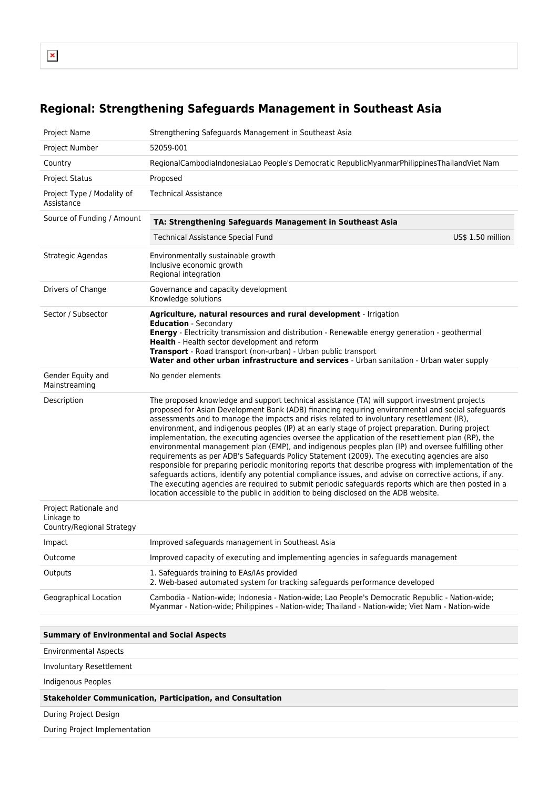## **Regional: Strengthening Safeguards Management in Southeast Asia**

| <b>Project Name</b>                                               | Strengthening Safeguards Management in Southeast Asia                                                                                                                                                                                                                                                                                                                                                                                                                                                                                                                                                                                                                                                                                                                                                                                                                                                                                                                                                                                                                                                                                  |  |
|-------------------------------------------------------------------|----------------------------------------------------------------------------------------------------------------------------------------------------------------------------------------------------------------------------------------------------------------------------------------------------------------------------------------------------------------------------------------------------------------------------------------------------------------------------------------------------------------------------------------------------------------------------------------------------------------------------------------------------------------------------------------------------------------------------------------------------------------------------------------------------------------------------------------------------------------------------------------------------------------------------------------------------------------------------------------------------------------------------------------------------------------------------------------------------------------------------------------|--|
| Project Number                                                    | 52059-001                                                                                                                                                                                                                                                                                                                                                                                                                                                                                                                                                                                                                                                                                                                                                                                                                                                                                                                                                                                                                                                                                                                              |  |
| Country                                                           | RegionalCambodiaIndonesiaLao People's Democratic RepublicMyanmarPhilippinesThailandViet Nam                                                                                                                                                                                                                                                                                                                                                                                                                                                                                                                                                                                                                                                                                                                                                                                                                                                                                                                                                                                                                                            |  |
| <b>Project Status</b>                                             | Proposed                                                                                                                                                                                                                                                                                                                                                                                                                                                                                                                                                                                                                                                                                                                                                                                                                                                                                                                                                                                                                                                                                                                               |  |
| Project Type / Modality of<br>Assistance                          | <b>Technical Assistance</b>                                                                                                                                                                                                                                                                                                                                                                                                                                                                                                                                                                                                                                                                                                                                                                                                                                                                                                                                                                                                                                                                                                            |  |
| Source of Funding / Amount                                        | TA: Strengthening Safeguards Management in Southeast Asia                                                                                                                                                                                                                                                                                                                                                                                                                                                                                                                                                                                                                                                                                                                                                                                                                                                                                                                                                                                                                                                                              |  |
|                                                                   | US\$ 1.50 million<br><b>Technical Assistance Special Fund</b>                                                                                                                                                                                                                                                                                                                                                                                                                                                                                                                                                                                                                                                                                                                                                                                                                                                                                                                                                                                                                                                                          |  |
| Strategic Agendas                                                 | Environmentally sustainable growth<br>Inclusive economic growth<br>Regional integration                                                                                                                                                                                                                                                                                                                                                                                                                                                                                                                                                                                                                                                                                                                                                                                                                                                                                                                                                                                                                                                |  |
| Drivers of Change                                                 | Governance and capacity development<br>Knowledge solutions                                                                                                                                                                                                                                                                                                                                                                                                                                                                                                                                                                                                                                                                                                                                                                                                                                                                                                                                                                                                                                                                             |  |
| Sector / Subsector                                                | Agriculture, natural resources and rural development - Irrigation<br><b>Education</b> - Secondary<br>Energy - Electricity transmission and distribution - Renewable energy generation - geothermal<br>Health - Health sector development and reform<br>Transport - Road transport (non-urban) - Urban public transport<br>Water and other urban infrastructure and services - Urban sanitation - Urban water supply                                                                                                                                                                                                                                                                                                                                                                                                                                                                                                                                                                                                                                                                                                                    |  |
| Gender Equity and<br>Mainstreaming                                | No gender elements                                                                                                                                                                                                                                                                                                                                                                                                                                                                                                                                                                                                                                                                                                                                                                                                                                                                                                                                                                                                                                                                                                                     |  |
| Description                                                       | The proposed knowledge and support technical assistance (TA) will support investment projects<br>proposed for Asian Development Bank (ADB) financing requiring environmental and social safeguards<br>assessments and to manage the impacts and risks related to involuntary resettlement (IR),<br>environment, and indigenous peoples (IP) at an early stage of project preparation. During project<br>implementation, the executing agencies oversee the application of the resettlement plan (RP), the<br>environmental management plan (EMP), and indigenous peoples plan (IP) and oversee fulfilling other<br>requirements as per ADB's Safeguards Policy Statement (2009). The executing agencies are also<br>responsible for preparing periodic monitoring reports that describe progress with implementation of the<br>safeguards actions, identify any potential compliance issues, and advise on corrective actions, if any.<br>The executing agencies are required to submit periodic safeguards reports which are then posted in a<br>location accessible to the public in addition to being disclosed on the ADB website. |  |
| Project Rationale and<br>Linkage to<br>Country/Regional Strategy  |                                                                                                                                                                                                                                                                                                                                                                                                                                                                                                                                                                                                                                                                                                                                                                                                                                                                                                                                                                                                                                                                                                                                        |  |
| Impact                                                            | Improved safeguards management in Southeast Asia                                                                                                                                                                                                                                                                                                                                                                                                                                                                                                                                                                                                                                                                                                                                                                                                                                                                                                                                                                                                                                                                                       |  |
| Outcome                                                           | Improved capacity of executing and implementing agencies in safeguards management                                                                                                                                                                                                                                                                                                                                                                                                                                                                                                                                                                                                                                                                                                                                                                                                                                                                                                                                                                                                                                                      |  |
| Outputs                                                           | 1. Safeguards training to EAs/IAs provided<br>2. Web-based automated system for tracking safeguards performance developed                                                                                                                                                                                                                                                                                                                                                                                                                                                                                                                                                                                                                                                                                                                                                                                                                                                                                                                                                                                                              |  |
| Geographical Location                                             | Cambodia - Nation-wide; Indonesia - Nation-wide; Lao People's Democratic Republic - Nation-wide;<br>Myanmar - Nation-wide; Philippines - Nation-wide; Thailand - Nation-wide; Viet Nam - Nation-wide                                                                                                                                                                                                                                                                                                                                                                                                                                                                                                                                                                                                                                                                                                                                                                                                                                                                                                                                   |  |
|                                                                   |                                                                                                                                                                                                                                                                                                                                                                                                                                                                                                                                                                                                                                                                                                                                                                                                                                                                                                                                                                                                                                                                                                                                        |  |
| <b>Summary of Environmental and Social Aspects</b>                |                                                                                                                                                                                                                                                                                                                                                                                                                                                                                                                                                                                                                                                                                                                                                                                                                                                                                                                                                                                                                                                                                                                                        |  |
| <b>Environmental Aspects</b>                                      |                                                                                                                                                                                                                                                                                                                                                                                                                                                                                                                                                                                                                                                                                                                                                                                                                                                                                                                                                                                                                                                                                                                                        |  |
| Involuntary Resettlement                                          |                                                                                                                                                                                                                                                                                                                                                                                                                                                                                                                                                                                                                                                                                                                                                                                                                                                                                                                                                                                                                                                                                                                                        |  |
| <b>Indigenous Peoples</b>                                         |                                                                                                                                                                                                                                                                                                                                                                                                                                                                                                                                                                                                                                                                                                                                                                                                                                                                                                                                                                                                                                                                                                                                        |  |
| <b>Stakeholder Communication, Participation, and Consultation</b> |                                                                                                                                                                                                                                                                                                                                                                                                                                                                                                                                                                                                                                                                                                                                                                                                                                                                                                                                                                                                                                                                                                                                        |  |
| During Project Design                                             |                                                                                                                                                                                                                                                                                                                                                                                                                                                                                                                                                                                                                                                                                                                                                                                                                                                                                                                                                                                                                                                                                                                                        |  |
| During Project Implementation                                     |                                                                                                                                                                                                                                                                                                                                                                                                                                                                                                                                                                                                                                                                                                                                                                                                                                                                                                                                                                                                                                                                                                                                        |  |